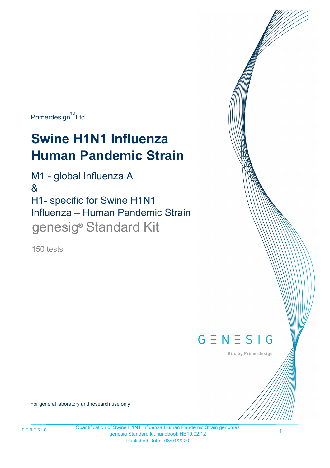$Primerdesign^{\text{TM}}$ Ltd

# **Swine H1N1 Influenza Human Pandemic Strain**

M1 - global Influenza A & H1- specific for Swine H1N1 Influenza – Human Pandemic Strain genesig<sup>®</sup> Standard Kit

150 tests



Kits by Primerdesign

For general laboratory and research use only

Quantification of Swine H1N1 Influenza Human Pandemic Strain genomes genesig Standard kit handbook HB10.02.12 Published Date: 08/01/2020

1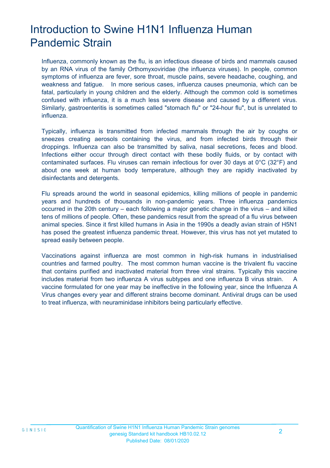# Introduction to Swine H1N1 Influenza Human Pandemic Strain

Influenza, commonly known as the flu, is an infectious disease of birds and mammals caused by an RNA virus of the family Orthomyxoviridae (the influenza viruses). In people, common symptoms of influenza are fever, sore throat, muscle pains, severe headache, coughing, and weakness and fatigue. In more serious cases, influenza causes pneumonia, which can be fatal, particularly in young children and the elderly. Although the common cold is sometimes confused with influenza, it is a much less severe disease and caused by a different virus. Similarly, gastroenteritis is sometimes called "stomach flu" or "24-hour flu", but is unrelated to influenza.

Typically, influenza is transmitted from infected mammals through the air by coughs or sneezes creating aerosols containing the virus, and from infected birds through their droppings. Influenza can also be transmitted by saliva, nasal secretions, feces and blood. Infections either occur through direct contact with these bodily fluids, or by contact with contaminated surfaces. Flu viruses can remain infectious for over 30 days at 0°C (32°F) and about one week at human body temperature, although they are rapidly inactivated by disinfectants and detergents.

Flu spreads around the world in seasonal epidemics, killing millions of people in pandemic years and hundreds of thousands in non-pandemic years. Three influenza pandemics occurred in the 20th century – each following a major genetic change in the virus – and killed tens of millions of people. Often, these pandemics result from the spread of a flu virus between animal species. Since it first killed humans in Asia in the 1990s a deadly avian strain of H5N1 has posed the greatest influenza pandemic threat. However, this virus has not yet mutated to spread easily between people.

Vaccinations against influenza are most common in high-risk humans in industrialised countries and farmed poultry. The most common human vaccine is the trivalent flu vaccine that contains purified and inactivated material from three viral strains. Typically this vaccine includes material from two influenza A virus subtypes and one influenza B virus strain. vaccine formulated for one year may be ineffective in the following year, since the Influenza A Virus changes every year and different strains become dominant. Antiviral drugs can be used to treat influenza, with neuraminidase inhibitors being particularly effective.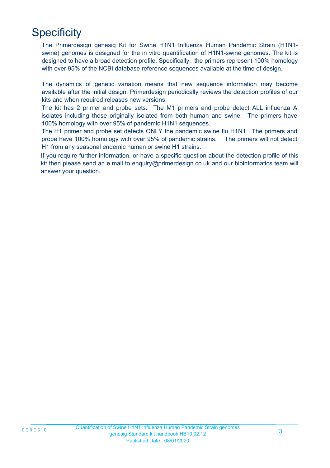# **Specificity**

The Primerdesign genesig Kit for Swine H1N1 Influenza Human Pandemic Strain (H1N1 swine) genomes is designed for the in vitro quantification of H1N1-swine genomes. The kit is designed to have a broad detection profile. Specifically, the primers represent 100% homology with over 95% of the NCBI database reference sequences available at the time of design.

The dynamics of genetic variation means that new sequence information may become available after the initial design. Primerdesign periodically reviews the detection profiles of our kits and when required releases new versions.

The kit has 2 primer and probe sets. The M1 primers and probe detect ALL influenza A isolates including those originally isolated from both human and swine. The primers have 100% homology with over 95% of pandemic H1N1 sequences.

The H1 primer and probe set detects ONLY the pandemic swine flu H1N1. The primers and probe have 100% homology with over 95% of pandemic strains. The primers will not detect H1 from any seasonal endemic human or swine H1 strains.

If you require further information, or have a specific question about the detection profile of this kit then please send an e.mail to enquiry@primerdesign.co.uk and our bioinformatics team will answer your question.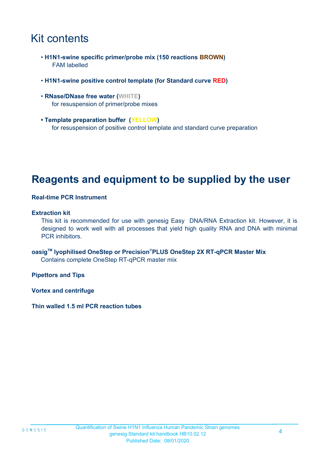# Kit contents

- **H1N1-swine specific primer/probe mix (150 reactions BROWN)** FAM labelled
- **H1N1-swine positive control template (for Standard curve RED)**
- **RNase/DNase free water (WHITE)** for resuspension of primer/probe mixes
- **Template preparation buffer (YELLOW)** for resuspension of positive control template and standard curve preparation

# **Reagents and equipment to be supplied by the user**

#### **Real-time PCR Instrument**

#### **Extraction kit**

This kit is recommended for use with genesig Easy DNA/RNA Extraction kit. However, it is designed to work well with all processes that yield high quality RNA and DNA with minimal PCR inhibitors.

**oasigTM lyophilised OneStep or Precision**®**PLUS OneStep 2X RT-qPCR Master Mix** Contains complete OneStep RT-qPCR master mix

**Pipettors and Tips**

**Vortex and centrifuge**

**Thin walled 1.5 ml PCR reaction tubes**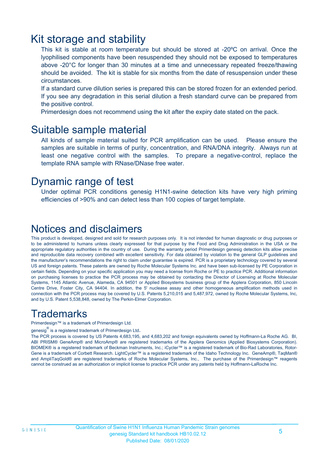### Kit storage and stability

This kit is stable at room temperature but should be stored at -20ºC on arrival. Once the lyophilised components have been resuspended they should not be exposed to temperatures above -20°C for longer than 30 minutes at a time and unnecessary repeated freeze/thawing should be avoided. The kit is stable for six months from the date of resuspension under these circumstances.

If a standard curve dilution series is prepared this can be stored frozen for an extended period. If you see any degradation in this serial dilution a fresh standard curve can be prepared from the positive control.

Primerdesign does not recommend using the kit after the expiry date stated on the pack.

### Suitable sample material

All kinds of sample material suited for PCR amplification can be used. Please ensure the samples are suitable in terms of purity, concentration, and RNA/DNA integrity. Always run at least one negative control with the samples. To prepare a negative-control, replace the template RNA sample with RNase/DNase free water.

### Dynamic range of test

Under optimal PCR conditions genesig H1N1-swine detection kits have very high priming efficiencies of >90% and can detect less than 100 copies of target template.

### Notices and disclaimers

This product is developed, designed and sold for research purposes only. It is not intended for human diagnostic or drug purposes or to be administered to humans unless clearly expressed for that purpose by the Food and Drug Administration in the USA or the appropriate regulatory authorities in the country of use. During the warranty period Primerdesign genesig detection kits allow precise and reproducible data recovery combined with excellent sensitivity. For data obtained by violation to the general GLP guidelines and the manufacturer's recommendations the right to claim under guarantee is expired. PCR is a proprietary technology covered by several US and foreign patents. These patents are owned by Roche Molecular Systems Inc. and have been sub-licensed by PE Corporation in certain fields. Depending on your specific application you may need a license from Roche or PE to practice PCR. Additional information on purchasing licenses to practice the PCR process may be obtained by contacting the Director of Licensing at Roche Molecular Systems, 1145 Atlantic Avenue, Alameda, CA 94501 or Applied Biosystems business group of the Applera Corporation, 850 Lincoln Centre Drive, Foster City, CA 94404. In addition, the 5' nuclease assay and other homogeneous amplification methods used in connection with the PCR process may be covered by U.S. Patents 5,210,015 and 5,487,972, owned by Roche Molecular Systems, Inc, and by U.S. Patent 5,538,848, owned by The Perkin-Elmer Corporation.

### **Trademarks**

Primerdesign™ is a trademark of Primerdesign Ltd.

genesig $^\circledR$  is a registered trademark of Primerdesign Ltd.

The PCR process is covered by US Patents 4,683,195, and 4,683,202 and foreign equivalents owned by Hoffmann-La Roche AG. BI, ABI PRISM® GeneAmp® and MicroAmp® are registered trademarks of the Applera Genomics (Applied Biosystems Corporation). BIOMEK® is a registered trademark of Beckman Instruments, Inc.; iCycler™ is a registered trademark of Bio-Rad Laboratories, Rotor-Gene is a trademark of Corbett Research. LightCycler™ is a registered trademark of the Idaho Technology Inc. GeneAmp®, TaqMan® and AmpliTaqGold® are registered trademarks of Roche Molecular Systems, Inc., The purchase of the Primerdesign™ reagents cannot be construed as an authorization or implicit license to practice PCR under any patents held by Hoffmann-LaRoche Inc.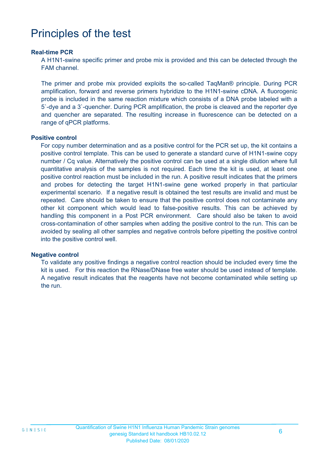# Principles of the test

#### **Real-time PCR**

A H1N1-swine specific primer and probe mix is provided and this can be detected through the FAM channel.

The primer and probe mix provided exploits the so-called TaqMan® principle. During PCR amplification, forward and reverse primers hybridize to the H1N1-swine cDNA. A fluorogenic probe is included in the same reaction mixture which consists of a DNA probe labeled with a 5`-dye and a 3`-quencher. During PCR amplification, the probe is cleaved and the reporter dye and quencher are separated. The resulting increase in fluorescence can be detected on a range of qPCR platforms.

#### **Positive control**

For copy number determination and as a positive control for the PCR set up, the kit contains a positive control template. This can be used to generate a standard curve of H1N1-swine copy number / Cq value. Alternatively the positive control can be used at a single dilution where full quantitative analysis of the samples is not required. Each time the kit is used, at least one positive control reaction must be included in the run. A positive result indicates that the primers and probes for detecting the target H1N1-swine gene worked properly in that particular experimental scenario. If a negative result is obtained the test results are invalid and must be repeated. Care should be taken to ensure that the positive control does not contaminate any other kit component which would lead to false-positive results. This can be achieved by handling this component in a Post PCR environment. Care should also be taken to avoid cross-contamination of other samples when adding the positive control to the run. This can be avoided by sealing all other samples and negative controls before pipetting the positive control into the positive control well.

#### **Negative control**

To validate any positive findings a negative control reaction should be included every time the kit is used. For this reaction the RNase/DNase free water should be used instead of template. A negative result indicates that the reagents have not become contaminated while setting up the run.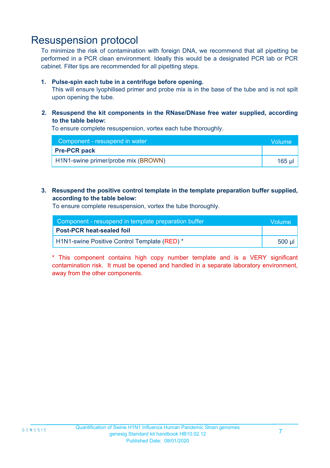### Resuspension protocol

To minimize the risk of contamination with foreign DNA, we recommend that all pipetting be performed in a PCR clean environment. Ideally this would be a designated PCR lab or PCR cabinet. Filter tips are recommended for all pipetting steps.

#### **1. Pulse-spin each tube in a centrifuge before opening.**

This will ensure lyophilised primer and probe mix is in the base of the tube and is not spilt upon opening the tube.

**2. Resuspend the kit components in the RNase/DNase free water supplied, according to the table below:**

To ensure complete resuspension, vortex each tube thoroughly.

| Component - resuspend in water      | <b>Nolume</b> |
|-------------------------------------|---------------|
| <b>Pre-PCR pack</b>                 |               |
| H1N1-swine primer/probe mix (BROWN) | 165 µı        |

#### **3. Resuspend the positive control template in the template preparation buffer supplied, according to the table below:**

To ensure complete resuspension, vortex the tube thoroughly.

| Component - resuspend in template preparation buffer | Volume   |
|------------------------------------------------------|----------|
| <b>Post-PCR heat-sealed foil</b>                     |          |
| H1N1-swine Positive Control Template (RED) *         | ี 500 µl |

\* This component contains high copy number template and is a VERY significant contamination risk. It must be opened and handled in a separate laboratory environment, away from the other components.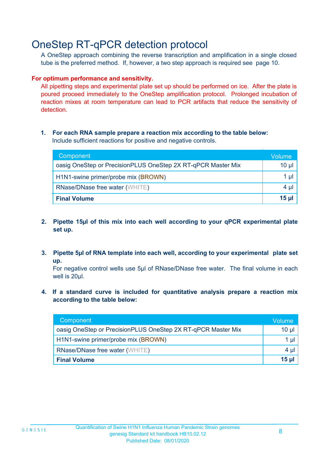# OneStep RT-qPCR detection protocol

A OneStep approach combining the reverse transcription and amplification in a single closed tube is the preferred method. If, however, a two step approach is required see page 10.

#### **For optimum performance and sensitivity.**

All pipetting steps and experimental plate set up should be performed on ice. After the plate is poured proceed immediately to the OneStep amplification protocol. Prolonged incubation of reaction mixes at room temperature can lead to PCR artifacts that reduce the sensitivity of detection.

#### **1. For each RNA sample prepare a reaction mix according to the table below:** Include sufficient reactions for positive and negative controls.

| Component                                                    | Volume       |
|--------------------------------------------------------------|--------------|
| oasig OneStep or PrecisionPLUS OneStep 2X RT-qPCR Master Mix | $10 \mu$     |
| H1N1-swine primer/probe mix (BROWN)                          | 1 µl         |
| <b>RNase/DNase free water (WHITE)</b>                        | 4 µl         |
| <b>Final Volume</b>                                          | <u>15 µl</u> |

- **2. Pipette 15µl of this mix into each well according to your qPCR experimental plate set up.**
- **3. Pipette 5µl of RNA template into each well, according to your experimental plate set up.**

For negative control wells use 5µl of RNase/DNase free water. The final volume in each well is 20ul.

**4. If a standard curve is included for quantitative analysis prepare a reaction mix according to the table below:**

| Component                                                    | Volume   |
|--------------------------------------------------------------|----------|
| oasig OneStep or PrecisionPLUS OneStep 2X RT-qPCR Master Mix | $10 \mu$ |
| H1N1-swine primer/probe mix (BROWN)                          | 1 µI     |
| <b>RNase/DNase free water (WHITE)</b>                        | $4 \mu$  |
| <b>Final Volume</b>                                          | $15$ µ   |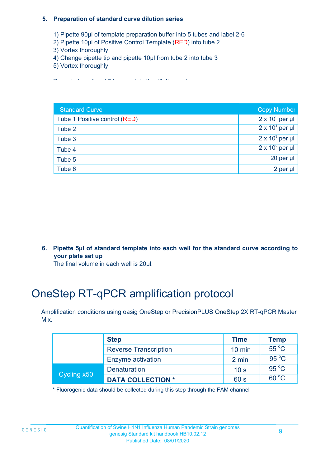#### **5. Preparation of standard curve dilution series**

- 1) Pipette 90µl of template preparation buffer into 5 tubes and label 2-6
- 2) Pipette 10µl of Positive Control Template (RED) into tube 2
- 3) Vortex thoroughly
- 4) Change pipette tip and pipette 10µl from tube 2 into tube 3
- 5) Vortex thoroughly

Repeat steps 4 and 5 to complete the dilution series

| <b>Standard Curve</b>         | <b>Copy Number</b>     |
|-------------------------------|------------------------|
| Tube 1 Positive control (RED) | $2 \times 10^5$ per µl |
| Tube 2                        | $2 \times 10^4$ per µl |
| Tube 3                        | $2 \times 10^3$ per µl |
| Tube 4                        | $2 \times 10^2$ per µl |
| Tube 5                        | 20 per µl              |
| Tube 6                        | 2 per µl               |

**6. Pipette 5µl of standard template into each well for the standard curve according to your plate set up**

The final volume in each well is 20µl.

# OneStep RT-qPCR amplification protocol

Amplification conditions using oasig OneStep or PrecisionPLUS OneStep 2X RT-qPCR Master Mix.

|             | <b>Step</b>                  | <b>Time</b>      | <b>Temp</b>    |
|-------------|------------------------------|------------------|----------------|
|             | <b>Reverse Transcription</b> | $10 \text{ min}$ | $55^{\circ}$ C |
|             | <b>Enzyme activation</b>     | 2 min            | $95^{\circ}$ C |
| Cycling x50 | <b>Denaturation</b>          | 10 <sub>s</sub>  | $95^{\circ}$ C |
|             | <b>DATA COLLECTION *</b>     | 60 s             | $60^{\circ}$ C |

\* Fluorogenic data should be collected during this step through the FAM channel